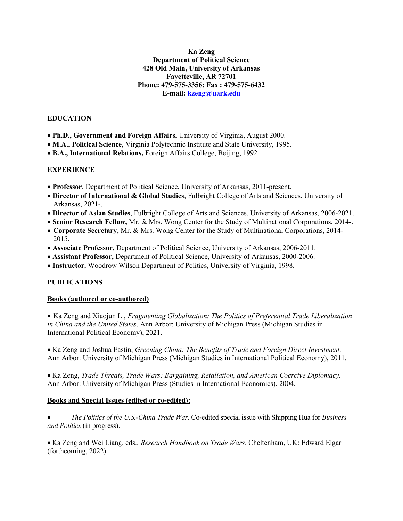### Ka Zeng Department of Political Science 428 Old Main, University of Arkansas Fayetteville, AR 72701 Phone: 479-575-3356; Fax : 479-575-6432 E-mail: kzeng@uark.edu

### EDUCATION

- Ph.D., Government and Foreign Affairs, University of Virginia, August 2000.
- M.A., Political Science, Virginia Polytechnic Institute and State University, 1995.
- B.A., International Relations, Foreign Affairs College, Beijing, 1992.

### **EXPERIENCE**

- Professor, Department of Political Science, University of Arkansas, 2011-present.
- Director of International & Global Studies, Fulbright College of Arts and Sciences, University of Arkansas, 2021-.
- Director of Asian Studies, Fulbright College of Arts and Sciences, University of Arkansas, 2006-2021.
- Senior Research Fellow, Mr. & Mrs. Wong Center for the Study of Multinational Corporations, 2014-.
- Corporate Secretary, Mr. & Mrs. Wong Center for the Study of Multinational Corporations, 2014- 2015.
- Associate Professor, Department of Political Science, University of Arkansas, 2006-2011.
- Assistant Professor, Department of Political Science, University of Arkansas, 2000-2006.
- Instructor, Woodrow Wilson Department of Politics, University of Virginia, 1998.

## PUBLICATIONS

#### Books (authored or co-authored)

• Ka Zeng and Xiaojun Li, Fragmenting Globalization: The Politics of Preferential Trade Liberalization in China and the United States. Ann Arbor: University of Michigan Press (Michigan Studies in International Political Economy), 2021.

 Ka Zeng and Joshua Eastin, Greening China: The Benefits of Trade and Foreign Direct Investment. Ann Arbor: University of Michigan Press (Michigan Studies in International Political Economy), 2011.

 Ka Zeng, Trade Threats, Trade Wars: Bargaining, Retaliation, and American Coercive Diplomacy. Ann Arbor: University of Michigan Press (Studies in International Economics), 2004.

#### Books and Special Issues (edited or co-edited):

 The Politics of the U.S.-China Trade War. Co-edited special issue with Shipping Hua for Business and Politics (in progress).

 Ka Zeng and Wei Liang, eds., Research Handbook on Trade Wars. Cheltenham, UK: Edward Elgar (forthcoming, 2022).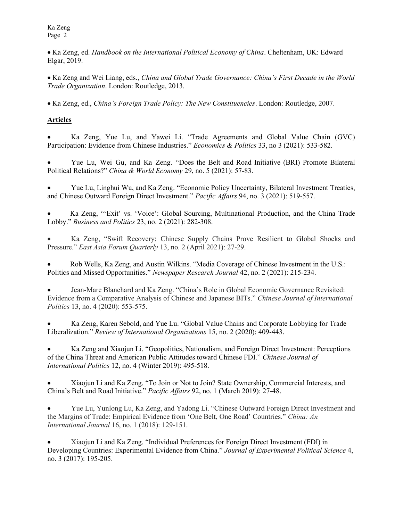• Ka Zeng, ed. Handbook on the International Political Economy of China. Cheltenham, UK: Edward Elgar, 2019.

 Ka Zeng and Wei Liang, eds., China and Global Trade Governance: China's First Decade in the World Trade Organization. London: Routledge, 2013.

Ka Zeng, ed., China's Foreign Trade Policy: The New Constituencies. London: Routledge, 2007.

# Articles

 Ka Zeng, Yue Lu, and Yawei Li. "Trade Agreements and Global Value Chain (GVC) Participation: Evidence from Chinese Industries." Economics & Politics 33, no 3 (2021): 533-582.

 Yue Lu, Wei Gu, and Ka Zeng. "Does the Belt and Road Initiative (BRI) Promote Bilateral Political Relations?" China & World Economy 29, no. 5 (2021): 57-83.

 Yue Lu, Linghui Wu, and Ka Zeng. "Economic Policy Uncertainty, Bilateral Investment Treaties, and Chinese Outward Foreign Direct Investment." Pacific Affairs 94, no. 3 (2021): 519-557.

 Ka Zeng, "'Exit' vs. 'Voice': Global Sourcing, Multinational Production, and the China Trade Lobby." Business and Politics 23, no. 2 (2021): 282-308.

 Ka Zeng, "Swift Recovery: Chinese Supply Chains Prove Resilient to Global Shocks and Pressure." East Asia Forum Quarterly 13, no. 2 (April 2021): 27-29.

 Rob Wells, Ka Zeng, and Austin Wilkins. "Media Coverage of Chinese Investment in the U.S.: Politics and Missed Opportunities." Newspaper Research Journal 42, no. 2 (2021): 215-234.

 Jean-Marc Blanchard and Ka Zeng. "China's Role in Global Economic Governance Revisited: Evidence from a Comparative Analysis of Chinese and Japanese BITs." Chinese Journal of International Politics 13, no. 4 (2020): 553-575.

 Ka Zeng, Karen Sebold, and Yue Lu. "Global Value Chains and Corporate Lobbying for Trade Liberalization." Review of International Organizations 15, no. 2 (2020): 409-443.

 Ka Zeng and Xiaojun Li. "Geopolitics, Nationalism, and Foreign Direct Investment: Perceptions of the China Threat and American Public Attitudes toward Chinese FDI." Chinese Journal of International Politics 12, no. 4 (Winter 2019): 495-518.

 Xiaojun Li and Ka Zeng. "To Join or Not to Join? State Ownership, Commercial Interests, and China's Belt and Road Initiative." Pacific Affairs 92, no. 1 (March 2019): 27-48.

 Yue Lu, Yunlong Lu, Ka Zeng, and Yadong Li. "Chinese Outward Foreign Direct Investment and the Margins of Trade: Empirical Evidence from 'One Belt, One Road' Countries." China: An International Journal 16, no. 1 (2018): 129-151.

 Xiaojun Li and Ka Zeng. "Individual Preferences for Foreign Direct Investment (FDI) in Developing Countries: Experimental Evidence from China." Journal of Experimental Political Science 4, no. 3 (2017): 195-205.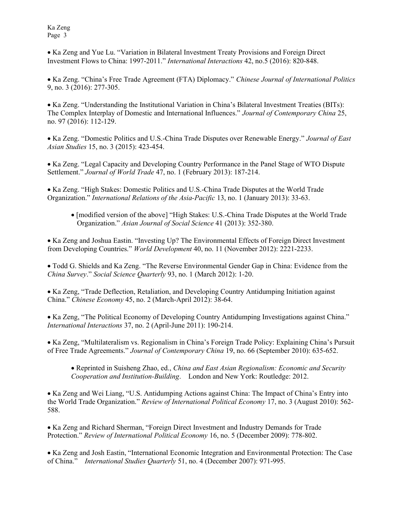• Ka Zeng and Yue Lu. "Variation in Bilateral Investment Treaty Provisions and Foreign Direct Investment Flows to China: 1997-2011." International Interactions 42, no.5 (2016): 820-848.

 Ka Zeng. "China's Free Trade Agreement (FTA) Diplomacy." Chinese Journal of International Politics 9, no. 3 (2016): 277-305.

 Ka Zeng. "Understanding the Institutional Variation in China's Bilateral Investment Treaties (BITs): The Complex Interplay of Domestic and International Influences." Journal of Contemporary China 25, no. 97 (2016): 112-129.

• Ka Zeng. "Domestic Politics and U.S.-China Trade Disputes over Renewable Energy." Journal of East Asian Studies 15, no. 3 (2015): 423-454.

• Ka Zeng. "Legal Capacity and Developing Country Performance in the Panel Stage of WTO Dispute Settlement." Journal of World Trade 47, no. 1 (February 2013): 187-214.

• Ka Zeng. "High Stakes: Domestic Politics and U.S.-China Trade Disputes at the World Trade Organization." International Relations of the Asia-Pacific 13, no. 1 (January 2013): 33-63.

 [modified version of the above] "High Stakes: U.S.-China Trade Disputes at the World Trade Organization." Asian Journal of Social Science 41 (2013): 352-380.

• Ka Zeng and Joshua Eastin. "Investing Up? The Environmental Effects of Foreign Direct Investment from Developing Countries." World Development 40, no. 11 (November 2012): 2221-2233.

 Todd G. Shields and Ka Zeng. "The Reverse Environmental Gender Gap in China: Evidence from the China Survey." Social Science Quarterly 93, no. 1 (March 2012): 1-20.

 Ka Zeng, "Trade Deflection, Retaliation, and Developing Country Antidumping Initiation against China." Chinese Economy 45, no. 2 (March-April 2012): 38-64.

• Ka Zeng, "The Political Economy of Developing Country Antidumping Investigations against China." International Interactions 37, no. 2 (April-June 2011): 190-214.

 Ka Zeng, "Multilateralism vs. Regionalism in China's Foreign Trade Policy: Explaining China's Pursuit of Free Trade Agreements." Journal of Contemporary China 19, no. 66 (September 2010): 635-652.

• Reprinted in Suisheng Zhao, ed., China and East Asian Regionalism: Economic and Security Cooperation and Institution-Building. London and New York: Routledge: 2012.

 Ka Zeng and Wei Liang, "U.S. Antidumping Actions against China: The Impact of China's Entry into the World Trade Organization." Review of International Political Economy 17, no. 3 (August 2010): 562- 588.

• Ka Zeng and Richard Sherman, "Foreign Direct Investment and Industry Demands for Trade Protection." Review of International Political Economy 16, no. 5 (December 2009): 778-802.

• Ka Zeng and Josh Eastin, "International Economic Integration and Environmental Protection: The Case of China." International Studies Quarterly 51, no. 4 (December 2007): 971-995.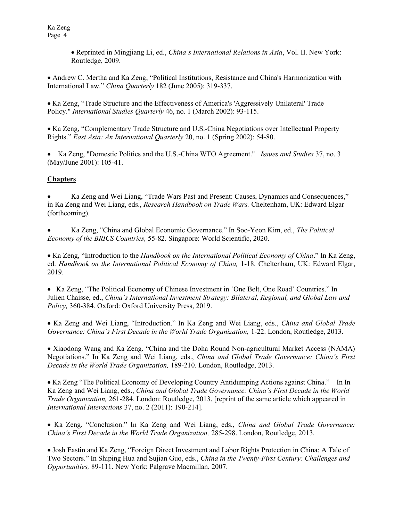> • Reprinted in Mingjiang Li, ed., *China's International Relations in Asia*, Vol. II. New York: Routledge, 2009.

 Andrew C. Mertha and Ka Zeng, "Political Institutions, Resistance and China's Harmonization with International Law." China Quarterly 182 (June 2005): 319-337.

• Ka Zeng, "Trade Structure and the Effectiveness of America's 'Aggressively Unilateral' Trade Policy." International Studies Quarterly 46, no. 1 (March 2002): 93-115.

 Ka Zeng, "Complementary Trade Structure and U.S.-China Negotiations over Intellectual Property Rights." East Asia: An International Quarterly 20, no. 1 (Spring 2002): 54-80.

• Ka Zeng, "Domestic Politics and the U.S.-China WTO Agreement." *Issues and Studies* 37, no. 3 (May/June 2001): 105-41.

# **Chapters**

 Ka Zeng and Wei Liang, "Trade Wars Past and Present: Causes, Dynamics and Consequences," in Ka Zeng and Wei Liang, eds., Research Handbook on Trade Wars. Cheltenham, UK: Edward Elgar (forthcoming).

 Ka Zeng, "China and Global Economic Governance." In Soo-Yeon Kim, ed., The Political Economy of the BRICS Countries, 55-82. Singapore: World Scientific, 2020.

• Ka Zeng, "Introduction to the *Handbook on the International Political Economy of China*." In Ka Zeng, ed. Handbook on the International Political Economy of China, 1-18. Cheltenham, UK: Edward Elgar, 2019.

 Ka Zeng, "The Political Economy of Chinese Investment in 'One Belt, One Road' Countries." In Julien Chaisse, ed., China's International Investment Strategy: Bilateral, Regional, and Global Law and Policy, 360-384. Oxford: Oxford University Press, 2019.

 Ka Zeng and Wei Liang, "Introduction." In Ka Zeng and Wei Liang, eds., China and Global Trade Governance: China's First Decade in the World Trade Organization, 1-22. London, Routledge, 2013.

• Xiaodong Wang and Ka Zeng. "China and the Doha Round Non-agricultural Market Access (NAMA) Negotiations." In Ka Zeng and Wei Liang, eds., China and Global Trade Governance: China's First Decade in the World Trade Organization, 189-210. London, Routledge, 2013.

• Ka Zeng "The Political Economy of Developing Country Antidumping Actions against China." In In Ka Zeng and Wei Liang, eds., China and Global Trade Governance: China's First Decade in the World Trade Organization, 261-284. London: Routledge, 2013. [reprint of the same article which appeared in International Interactions 37, no. 2 (2011): 190-214].

 Ka Zeng. "Conclusion." In Ka Zeng and Wei Liang, eds., China and Global Trade Governance: China's First Decade in the World Trade Organization, 285-298. London, Routledge, 2013.

 Josh Eastin and Ka Zeng, "Foreign Direct Investment and Labor Rights Protection in China: A Tale of Two Sectors." In Shiping Hua and Sujian Guo, eds., China in the Twenty-First Century: Challenges and Opportunities, 89-111. New York: Palgrave Macmillan, 2007.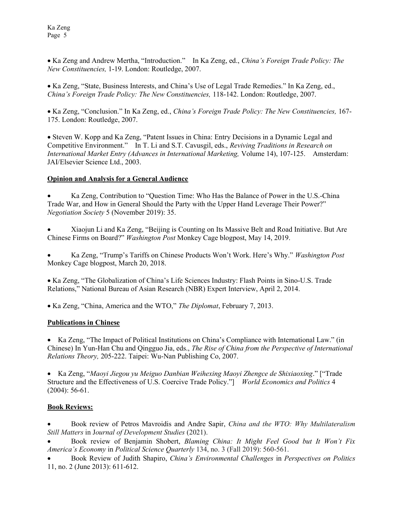• Ka Zeng and Andrew Mertha, "Introduction." In Ka Zeng, ed., China's Foreign Trade Policy: The New Constituencies, 1-19. London: Routledge, 2007.

 Ka Zeng, "State, Business Interests, and China's Use of Legal Trade Remedies." In Ka Zeng, ed., China's Foreign Trade Policy: The New Constituencies, 118-142. London: Routledge, 2007.

 Ka Zeng, "Conclusion." In Ka Zeng, ed., China's Foreign Trade Policy: The New Constituencies, 167- 175. London: Routledge, 2007.

 Steven W. Kopp and Ka Zeng, "Patent Issues in China: Entry Decisions in a Dynamic Legal and Competitive Environment." In T. Li and S.T. Cavusgil, eds., Reviving Traditions in Research on International Market Entry (Advances in International Marketing, Volume 14), 107-125. Amsterdam: JAI/Elsevier Science Ltd., 2003.

### Opinion and Analysis for a General Audience

 Ka Zeng, Contribution to "Question Time: Who Has the Balance of Power in the U.S.-China Trade War, and How in General Should the Party with the Upper Hand Leverage Their Power?" Negotiation Society 5 (November 2019): 35.

 Xiaojun Li and Ka Zeng, "Beijing is Counting on Its Massive Belt and Road Initiative. But Are Chinese Firms on Board?" Washington Post Monkey Cage blogpost, May 14, 2019.

 Ka Zeng, "Trump's Tariffs on Chinese Products Won't Work. Here's Why." Washington Post Monkey Cage blogpost, March 20, 2018.

 Ka Zeng, "The Globalization of China's Life Sciences Industry: Flash Points in Sino-U.S. Trade Relations," National Bureau of Asian Research (NBR) Expert Interview, April 2, 2014.

• Ka Zeng, "China, America and the WTO," The Diplomat, February 7, 2013.

#### Publications in Chinese

• Ka Zeng, "The Impact of Political Institutions on China's Compliance with International Law." (in Chinese) In Yun-Han Chu and Qingguo Jia, eds., The Rise of China from the Perspective of International Relations Theory, 205-222. Taipei: Wu-Nan Publishing Co, 2007.

• Ka Zeng, "Maoyi Jiegou yu Meiguo Danbian Weihexing Maoyi Zhengce de Shixiaoxing." ["Trade Structure and the Effectiveness of U.S. Coercive Trade Policy." World Economics and Politics 4 (2004): 56-61.

#### Book Reviews:

Book review of Petros Mavroidis and Andre Sapir, China and the WTO: Why Multilateralism Still Matters in Journal of Development Studies (2021).

 Book review of Benjamin Shobert, Blaming China: It Might Feel Good but It Won't Fix America's Economy in Political Science Quarterly 134, no. 3 (Fall 2019): 560-561.

 Book Review of Judith Shapiro, China's Environmental Challenges in Perspectives on Politics 11, no. 2 (June 2013): 611-612.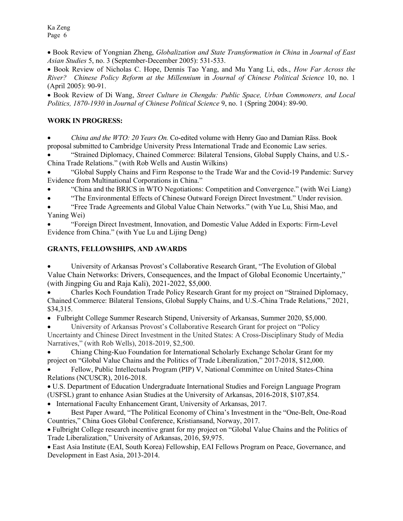• Book Review of Yongnian Zheng, *Globalization and State Transformation in China* in *Journal of East* Asian Studies 5, no. 3 (September-December 2005): 531-533.

• Book Review of Nicholas C. Hope, Dennis Tao Yang, and Mu Yang Li, eds., *How Far Across the* River? Chinese Policy Reform at the Millennium in Journal of Chinese Political Science 10, no. 1 (April 2005): 90-91.

• Book Review of Di Wang, Street Culture in Chengdu: Public Space, Urban Commoners, and Local Politics, 1870-1930 in Journal of Chinese Political Science 9, no. 1 (Spring 2004): 89-90.

## WORK IN PROGRESS:

 China and the WTO: 20 Years On. Co-edited volume with Henry Gao and Damian Räss. Book proposal submitted to Cambridge University Press International Trade and Economic Law series.

 "Strained Diplomacy, Chained Commerce: Bilateral Tensions, Global Supply Chains, and U.S.- China Trade Relations." (with Rob Wells and Austin Wilkins)

 "Global Supply Chains and Firm Response to the Trade War and the Covid-19 Pandemic: Survey Evidence from Multinational Corporations in China."

"China and the BRICS in WTO Negotiations: Competition and Convergence." (with Wei Liang)

"The Environmental Effects of Chinese Outward Foreign Direct Investment." Under revision.

 "Free Trade Agreements and Global Value Chain Networks." (with Yue Lu, Shisi Mao, and Yaning Wei)

 "Foreign Direct Investment, Innovation, and Domestic Value Added in Exports: Firm-Level Evidence from China." (with Yue Lu and Lijing Deng)

### GRANTS, FELLOWSHIPS, AND AWARDS

 University of Arkansas Provost's Collaborative Research Grant, "The Evolution of Global Value Chain Networks: Drivers, Consequences, and the Impact of Global Economic Uncertainty," (with Jingping Gu and Raja Kali), 2021-2022, \$5,000.

 Charles Koch Foundation Trade Policy Research Grant for my project on "Strained Diplomacy, Chained Commerce: Bilateral Tensions, Global Supply Chains, and U.S.-China Trade Relations," 2021, \$34,315.

• Fulbright College Summer Research Stipend, University of Arkansas, Summer 2020, \$5,000.

 University of Arkansas Provost's Collaborative Research Grant for project on "Policy Uncertainty and Chinese Direct Investment in the United States: A Cross-Disciplinary Study of Media Narratives," (with Rob Wells), 2018-2019, \$2,500.

 Chiang Ching-Kuo Foundation for International Scholarly Exchange Scholar Grant for my project on "Global Value Chains and the Politics of Trade Liberalization," 2017-2018, \$12,000.

 Fellow, Public Intellectuals Program (PIP) V, National Committee on United States-China Relations (NCUSCR), 2016-2018.

 U.S. Department of Education Undergraduate International Studies and Foreign Language Program (USFSL) grant to enhance Asian Studies at the University of Arkansas, 2016-2018, \$107,854.

• International Faculty Enhancement Grant, University of Arkansas, 2017.

 Best Paper Award, "The Political Economy of China's Investment in the "One-Belt, One-Road Countries," China Goes Global Conference, Kristiansand, Norway, 2017.

 Fulbright College research incentive grant for my project on "Global Value Chains and the Politics of Trade Liberalization," University of Arkansas, 2016, \$9,975.

 East Asia Institute (EAI, South Korea) Fellowship, EAI Fellows Program on Peace, Governance, and Development in East Asia, 2013-2014.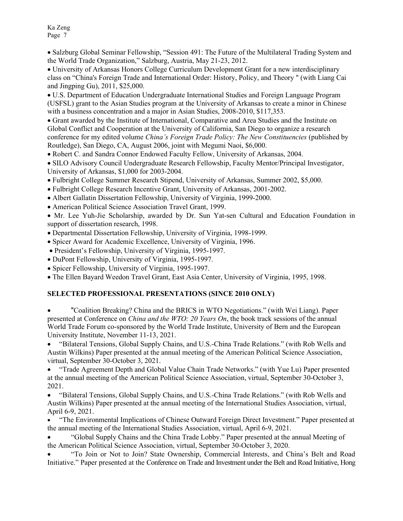• Salzburg Global Seminar Fellowship, "Session 491: The Future of the Multilateral Trading System and the World Trade Organization," Salzburg, Austria, May 21-23, 2012.

 University of Arkansas Honors College Curriculum Development Grant for a new interdisciplinary class on "China's Foreign Trade and International Order: History, Policy, and Theory " (with Liang Cai and Jingping Gu), 2011, \$25,000.

 U.S. Department of Education Undergraduate International Studies and Foreign Language Program (USFSL) grant to the Asian Studies program at the University of Arkansas to create a minor in Chinese with a business concentration and a major in Asian Studies, 2008-2010, \$117,353.

 Grant awarded by the Institute of International, Comparative and Area Studies and the Institute on Global Conflict and Cooperation at the University of California, San Diego to organize a research conference for my edited volume China's Foreign Trade Policy: The New Constituencies (published by Routledge), San Diego, CA, August 2006, joint with Megumi Naoi, \$6,000.

Robert C. and Sandra Connor Endowed Faculty Fellow, University of Arkansas, 2004.

 SILO Advisory Council Undergraduate Research Fellowship, Faculty Mentor/Principal Investigator, University of Arkansas, \$1,000 for 2003-2004.

- Fulbright College Summer Research Stipend, University of Arkansas, Summer 2002, \$5,000.
- Fulbright College Research Incentive Grant, University of Arkansas, 2001-2002.
- Albert Gallatin Dissertation Fellowship, University of Virginia, 1999-2000.
- American Political Science Association Travel Grant, 1999.

 Mr. Lee Yuh-Jie Scholarship, awarded by Dr. Sun Yat-sen Cultural and Education Foundation in support of dissertation research, 1998.

- Departmental Dissertation Fellowship, University of Virginia, 1998-1999.
- Spicer Award for Academic Excellence, University of Virginia, 1996.
- President's Fellowship, University of Virginia, 1995-1997.
- DuPont Fellowship, University of Virginia, 1995-1997.
- Spicer Fellowship, University of Virginia, 1995-1997.
- The Ellen Bayard Weedon Travel Grant, East Asia Center, University of Virginia, 1995, 1998.

## SELECTED PROFESSIONAL PRESENTATIONS (SINCE 2010 ONLY)

 "Coalition Breaking? China and the BRICS in WTO Negotiations." (with Wei Liang). Paper presented at Conference on *China and the WTO: 20 Years On*, the book track sessions of the annual World Trade Forum co-sponsored by the World Trade Institute, University of Bern and the European University Institute, November 11-13, 2021.

 "Bilateral Tensions, Global Supply Chains, and U.S.-China Trade Relations." (with Rob Wells and Austin Wilkins) Paper presented at the annual meeting of the American Political Science Association, virtual, September 30-October 3, 2021.

 "Trade Agreement Depth and Global Value Chain Trade Networks." (with Yue Lu) Paper presented at the annual meeting of the American Political Science Association, virtual, September 30-October 3, 2021.

 "Bilateral Tensions, Global Supply Chains, and U.S.-China Trade Relations." (with Rob Wells and Austin Wilkins) Paper presented at the annual meeting of the International Studies Association, virtual, April 6-9, 2021.

 "The Environmental Implications of Chinese Outward Foreign Direct Investment." Paper presented at the annual meeting of the International Studies Association, virtual, April 6-9, 2021.

 "Global Supply Chains and the China Trade Lobby." Paper presented at the annual Meeting of the American Political Science Association, virtual, September 30-October 3, 2020.

 "To Join or Not to Join? State Ownership, Commercial Interests, and China's Belt and Road Initiative." Paper presented at the Conference on Trade and Investment under the Belt and Road Initiative, Hong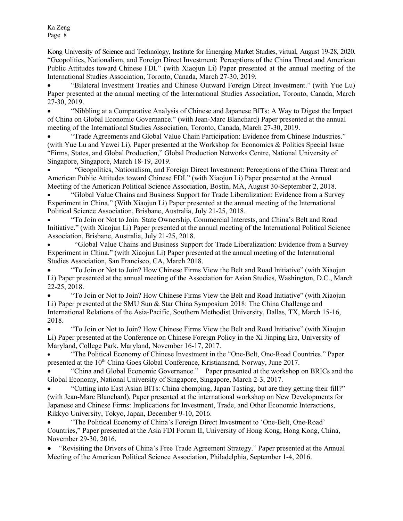Kong University of Science and Technology, Institute for Emerging Market Studies, virtual, August 19-28, 2020. "Geopolitics, Nationalism, and Foreign Direct Investment: Perceptions of the China Threat and American Public Attitudes toward Chinese FDI." (with Xiaojun Li) Paper presented at the annual meeting of the International Studies Association, Toronto, Canada, March 27-30, 2019.

 "Bilateral Investment Treaties and Chinese Outward Foreign Direct Investment." (with Yue Lu) Paper presented at the annual meeting of the International Studies Association, Toronto, Canada, March 27-30, 2019.

 "Nibbling at a Comparative Analysis of Chinese and Japanese BITs: A Way to Digest the Impact of China on Global Economic Governance." (with Jean-Marc Blanchard) Paper presented at the annual meeting of the International Studies Association, Toronto, Canada, March 27-30, 2019.

 "Trade Agreements and Global Value Chain Participation: Evidence from Chinese Industries." (with Yue Lu and Yawei Li). Paper presented at the Workshop for Economics & Politics Special Issue "Firms, States, and Global Production," Global Production Networks Centre, National University of Singapore, Singapore, March 18-19, 2019.

 "Geopolitics, Nationalism, and Foreign Direct Investment: Perceptions of the China Threat and American Public Attitudes toward Chinese FDI." (with Xiaojun Li) Paper presented at the Annual Meeting of the American Political Science Association, Bostin, MA, August 30-September 2, 2018.

 "Global Value Chains and Business Support for Trade Liberalization: Evidence from a Survey Experiment in China." (With Xiaojun Li) Paper presented at the annual meeting of the International Political Science Association, Brisbane, Australia, July 21-25, 2018.

 "To Join or Not to Join: State Ownership, Commercial Interests, and China's Belt and Road Initiative." (with Xiaojun Li) Paper presented at the annual meeting of the International Political Science Association, Brisbane, Australia, July 21-25, 2018.

 "Global Value Chains and Business Support for Trade Liberalization: Evidence from a Survey Experiment in China." (with Xiaojun Li) Paper presented at the annual meeting of the International Studies Association, San Francisco, CA, March 2018.

 "To Join or Not to Join? How Chinese Firms View the Belt and Road Initiative" (with Xiaojun Li) Paper presented at the annual meeting of the Association for Asian Studies, Washington, D.C., March 22-25, 2018.

 "To Join or Not to Join? How Chinese Firms View the Belt and Road Initiative" (with Xiaojun Li) Paper presented at the SMU Sun & Star China Symposium 2018: The China Challenge and International Relations of the Asia-Pacific, Southern Methodist University, Dallas, TX, March 15-16, 2018.

 "To Join or Not to Join? How Chinese Firms View the Belt and Road Initiative" (with Xiaojun Li) Paper presented at the Conference on Chinese Foreign Policy in the Xi Jinping Era, University of Maryland, College Park, Maryland, November 16-17, 2017.

 "The Political Economy of Chinese Investment in the "One-Belt, One-Road Countries." Paper presented at the 10th China Goes Global Conference, Kristiansand, Norway, June 2017.

 "China and Global Economic Governance." Paper presented at the workshop on BRICs and the Global Economy, National University of Singapore, Singapore, March 2-3, 2017.

 "Cutting into East Asian BITs: China chomping, Japan Tasting, but are they getting their fill?" (with Jean-Marc Blanchard), Paper presented at the international workshop on New Developments for Japanese and Chinese Firms: Implications for Investment, Trade, and Other Economic Interactions, Rikkyo University, Tokyo, Japan, December 9-10, 2016.

 "The Political Economy of China's Foreign Direct Investment to 'One-Belt, One-Road' Countries," Paper presented at the Asia FDI Forum II, University of Hong Kong, Hong Kong, China, November 29-30, 2016.

 "Revisiting the Drivers of China's Free Trade Agreement Strategy." Paper presented at the Annual Meeting of the American Political Science Association, Philadelphia, September 1-4, 2016.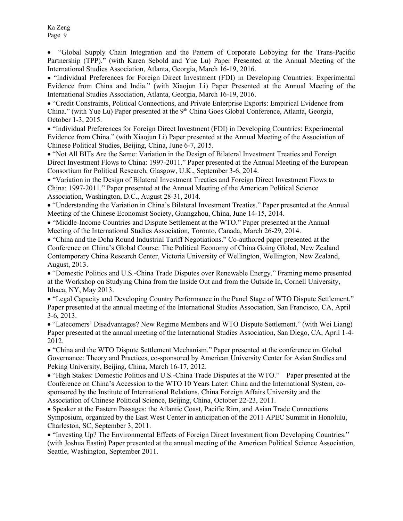"Global Supply Chain Integration and the Pattern of Corporate Lobbying for the Trans-Pacific Partnership (TPP)." (with Karen Sebold and Yue Lu) Paper Presented at the Annual Meeting of the International Studies Association, Atlanta, Georgia, March 16-19, 2016.

 "Individual Preferences for Foreign Direct Investment (FDI) in Developing Countries: Experimental Evidence from China and India." (with Xiaojun Li) Paper Presented at the Annual Meeting of the International Studies Association, Atlanta, Georgia, March 16-19, 2016.

 "Credit Constraints, Political Connections, and Private Enterprise Exports: Empirical Evidence from China." (with Yue Lu) Paper presented at the 9<sup>th</sup> China Goes Global Conference, Atlanta, Georgia, October 1-3, 2015.

 "Individual Preferences for Foreign Direct Investment (FDI) in Developing Countries: Experimental Evidence from China." (with Xiaojun Li) Paper presented at the Annual Meeting of the Association of Chinese Political Studies, Beijing, China, June 6-7, 2015.

 "Not All BITs Are the Same: Variation in the Design of Bilateral Investment Treaties and Foreign Direct Investment Flows to China: 1997-2011." Paper presented at the Annual Meeting of the European Consortium for Political Research, Glasgow, U.K., September 3-6, 2014.

 "Variation in the Design of Bilateral Investment Treaties and Foreign Direct Investment Flows to China: 1997-2011." Paper presented at the Annual Meeting of the American Political Science Association, Washington, D.C., August 28-31, 2014.

 "Understanding the Variation in China's Bilateral Investment Treaties." Paper presented at the Annual Meeting of the Chinese Economist Society, Guangzhou, China, June 14-15, 2014.

 "Middle-Income Countries and Dispute Settlement at the WTO." Paper presented at the Annual Meeting of the International Studies Association, Toronto, Canada, March 26-29, 2014.

 "China and the Doha Round Industrial Tariff Negotiations." Co-authored paper presented at the Conference on China's Global Course: The Political Economy of China Going Global, New Zealand Contemporary China Research Center, Victoria University of Wellington, Wellington, New Zealand, August, 2013.

 "Domestic Politics and U.S.-China Trade Disputes over Renewable Energy." Framing memo presented at the Workshop on Studying China from the Inside Out and from the Outside In, Cornell University, Ithaca, NY, May 2013.

 "Legal Capacity and Developing Country Performance in the Panel Stage of WTO Dispute Settlement." Paper presented at the annual meeting of the International Studies Association, San Francisco, CA, April 3-6, 2013.

 "Latecomers' Disadvantages? New Regime Members and WTO Dispute Settlement." (with Wei Liang) Paper presented at the annual meeting of the International Studies Association, San Diego, CA, April 1-4- 2012.

 "China and the WTO Dispute Settlement Mechanism." Paper presented at the conference on Global Governance: Theory and Practices, co-sponsored by American University Center for Asian Studies and Peking University, Beijing, China, March 16-17, 2012.

 "High Stakes: Domestic Politics and U.S.-China Trade Disputes at the WTO." Paper presented at the Conference on China's Accession to the WTO 10 Years Later: China and the International System, cosponsored by the Institute of International Relations, China Foreign Affairs University and the Association of Chinese Political Science, Beijing, China, October 22-23, 2011.

 Speaker at the Eastern Passages: the Atlantic Coast, Pacific Rim, and Asian Trade Connections Symposium, organized by the East West Center in anticipation of the 2011 APEC Summit in Honolulu, Charleston, SC, September 3, 2011.

 "Investing Up? The Environmental Effects of Foreign Direct Investment from Developing Countries." (with Joshua Eastin) Paper presented at the annual meeting of the American Political Science Association, Seattle, Washington, September 2011.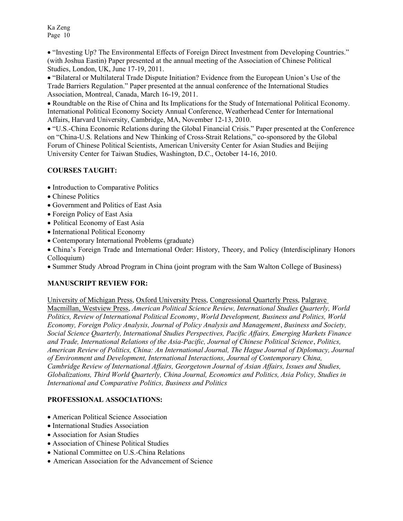"Investing Up? The Environmental Effects of Foreign Direct Investment from Developing Countries." (with Joshua Eastin) Paper presented at the annual meeting of the Association of Chinese Political Studies, London, UK, June 17-19, 2011.

 "Bilateral or Multilateral Trade Dispute Initiation? Evidence from the European Union's Use of the Trade Barriers Regulation." Paper presented at the annual conference of the International Studies Association, Montreal, Canada, March 16-19, 2011.

 Roundtable on the Rise of China and Its Implications for the Study of International Political Economy. International Political Economy Society Annual Conference, Weatherhead Center for International Affairs, Harvard University, Cambridge, MA, November 12-13, 2010.

 "U.S.-China Economic Relations during the Global Financial Crisis." Paper presented at the Conference on "China-U.S. Relations and New Thinking of Cross-Strait Relations," co-sponsored by the Global Forum of Chinese Political Scientists, American University Center for Asian Studies and Beijing University Center for Taiwan Studies, Washington, D.C., October 14-16, 2010.

# COURSES TAUGHT:

- Introduction to Comparative Politics
- Chinese Politics
- Government and Politics of East Asia
- Foreign Policy of East Asia
- Political Economy of East Asia
- International Political Economy
- Contemporary International Problems (graduate)
- China's Foreign Trade and International Order: History, Theory, and Policy (Interdisciplinary Honors Colloquium)
- Summer Study Abroad Program in China (joint program with the Sam Walton College of Business)

# MANUSCRIPT REVIEW FOR:

University of Michigan Press, Oxford University Press, Congressional Quarterly Press, Palgrave Macmillan, Westview Press, American Political Science Review, International Studies Quarterly, World Politics, Review of International Political Economy, World Development, Business and Politics, World Economy, Foreign Policy Analysis, Journal of Policy Analysis and Management, Business and Society, Social Science Quarterly, International Studies Perspectives, Pacific Affairs, Emerging Markets Finance and Trade, International Relations of the Asia-Pacific, Journal of Chinese Political Science, Politics, American Review of Politics, China: An International Journal, The Hague Journal of Diplomacy, Journal of Environment and Development, International Interactions, Journal of Contemporary China, Cambridge Review of International Affairs, Georgetown Journal of Asian Affairs, Issues and Studies, Globalizations, Third World Quarterly, China Journal, Economics and Politics, Asia Policy, Studies in International and Comparative Politics, Business and Politics

# PROFESSIONAL ASSOCIATIONS:

- American Political Science Association
- International Studies Association
- Association for Asian Studies
- Association of Chinese Political Studies
- National Committee on U.S.-China Relations
- American Association for the Advancement of Science